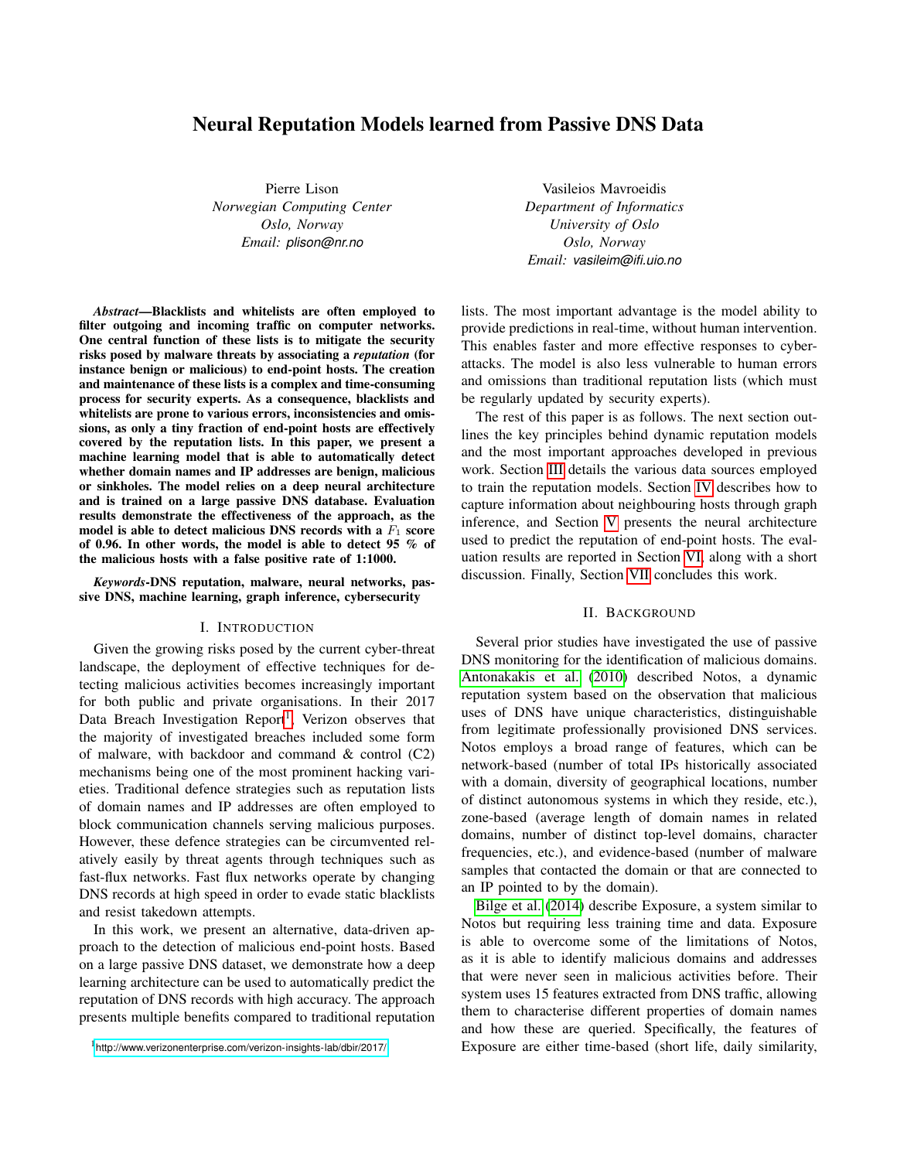# Neural Reputation Models learned from Passive DNS Data

Pierre Lison *Norwegian Computing Center Oslo, Norway Email: plison@nr.no*

*Abstract*—Blacklists and whitelists are often employed to filter outgoing and incoming traffic on computer networks. One central function of these lists is to mitigate the security risks posed by malware threats by associating a *reputation* (for instance benign or malicious) to end-point hosts. The creation and maintenance of these lists is a complex and time-consuming process for security experts. As a consequence, blacklists and whitelists are prone to various errors, inconsistencies and omissions, as only a tiny fraction of end-point hosts are effectively covered by the reputation lists. In this paper, we present a machine learning model that is able to automatically detect whether domain names and IP addresses are benign, malicious or sinkholes. The model relies on a deep neural architecture and is trained on a large passive DNS database. Evaluation results demonstrate the effectiveness of the approach, as the model is able to detect malicious DNS records with a  $F_1$  score of 0.96. In other words, the model is able to detect 95 % of the malicious hosts with a false positive rate of 1:1000.

*Keywords*-DNS reputation, malware, neural networks, passive DNS, machine learning, graph inference, cybersecurity

## I. INTRODUCTION

Given the growing risks posed by the current cyber-threat landscape, the deployment of effective techniques for detecting malicious activities becomes increasingly important for both public and private organisations. In their 2017 Data Breach Investigation Report<sup>[1](#page-0-0)</sup>, Verizon observes that the majority of investigated breaches included some form of malware, with backdoor and command  $&$  control  $(C2)$ mechanisms being one of the most prominent hacking varieties. Traditional defence strategies such as reputation lists of domain names and IP addresses are often employed to block communication channels serving malicious purposes. However, these defence strategies can be circumvented relatively easily by threat agents through techniques such as fast-flux networks. Fast flux networks operate by changing DNS records at high speed in order to evade static blacklists and resist takedown attempts.

In this work, we present an alternative, data-driven approach to the detection of malicious end-point hosts. Based on a large passive DNS dataset, we demonstrate how a deep learning architecture can be used to automatically predict the reputation of DNS records with high accuracy. The approach presents multiple benefits compared to traditional reputation

<span id="page-0-0"></span><sup>1</sup><http://www.verizonenterprise.com/verizon-insights-lab/dbir/2017/>

Vasileios Mavroeidis *Department of Informatics University of Oslo Oslo, Norway Email: vasileim@ifi.uio.no*

lists. The most important advantage is the model ability to provide predictions in real-time, without human intervention. This enables faster and more effective responses to cyberattacks. The model is also less vulnerable to human errors and omissions than traditional reputation lists (which must be regularly updated by security experts).

The rest of this paper is as follows. The next section outlines the key principles behind dynamic reputation models and the most important approaches developed in previous work. Section [III](#page-1-0) details the various data sources employed to train the reputation models. Section [IV](#page-4-0) describes how to capture information about neighbouring hosts through graph inference, and Section [V](#page-5-0) presents the neural architecture used to predict the reputation of end-point hosts. The evaluation results are reported in Section [VI,](#page-6-0) along with a short discussion. Finally, Section [VII](#page-7-0) concludes this work.

## II. BACKGROUND

Several prior studies have investigated the use of passive DNS monitoring for the identification of malicious domains. [Antonakakis et al.](#page-9-0) [\(2010\)](#page-9-0) described Notos, a dynamic reputation system based on the observation that malicious uses of DNS have unique characteristics, distinguishable from legitimate professionally provisioned DNS services. Notos employs a broad range of features, which can be network-based (number of total IPs historically associated with a domain, diversity of geographical locations, number of distinct autonomous systems in which they reside, etc.), zone-based (average length of domain names in related domains, number of distinct top-level domains, character frequencies, etc.), and evidence-based (number of malware samples that contacted the domain or that are connected to an IP pointed to by the domain).

[Bilge et al.](#page-9-1) [\(2014\)](#page-9-1) describe Exposure, a system similar to Notos but requiring less training time and data. Exposure is able to overcome some of the limitations of Notos, as it is able to identify malicious domains and addresses that were never seen in malicious activities before. Their system uses 15 features extracted from DNS traffic, allowing them to characterise different properties of domain names and how these are queried. Specifically, the features of Exposure are either time-based (short life, daily similarity,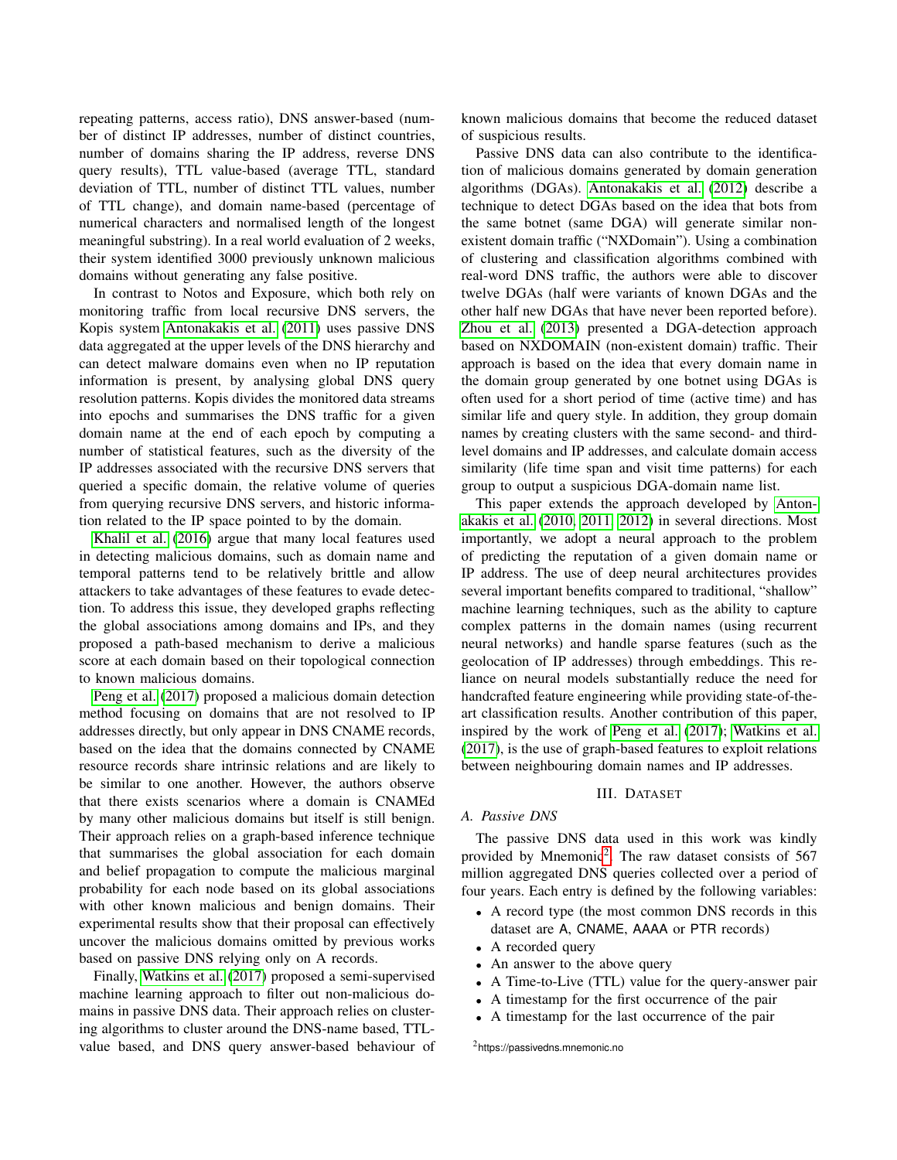repeating patterns, access ratio), DNS answer-based (number of distinct IP addresses, number of distinct countries, number of domains sharing the IP address, reverse DNS query results), TTL value-based (average TTL, standard deviation of TTL, number of distinct TTL values, number of TTL change), and domain name-based (percentage of numerical characters and normalised length of the longest meaningful substring). In a real world evaluation of 2 weeks, their system identified 3000 previously unknown malicious domains without generating any false positive.

In contrast to Notos and Exposure, which both rely on monitoring traffic from local recursive DNS servers, the Kopis system [Antonakakis et al.](#page-9-2) [\(2011\)](#page-9-2) uses passive DNS data aggregated at the upper levels of the DNS hierarchy and can detect malware domains even when no IP reputation information is present, by analysing global DNS query resolution patterns. Kopis divides the monitored data streams into epochs and summarises the DNS traffic for a given domain name at the end of each epoch by computing a number of statistical features, such as the diversity of the IP addresses associated with the recursive DNS servers that queried a specific domain, the relative volume of queries from querying recursive DNS servers, and historic information related to the IP space pointed to by the domain.

[Khalil et al.](#page-9-3) [\(2016\)](#page-9-3) argue that many local features used in detecting malicious domains, such as domain name and temporal patterns tend to be relatively brittle and allow attackers to take advantages of these features to evade detection. To address this issue, they developed graphs reflecting the global associations among domains and IPs, and they proposed a path-based mechanism to derive a malicious score at each domain based on their topological connection to known malicious domains.

[Peng et al.](#page-9-4) [\(2017\)](#page-9-4) proposed a malicious domain detection method focusing on domains that are not resolved to IP addresses directly, but only appear in DNS CNAME records, based on the idea that the domains connected by CNAME resource records share intrinsic relations and are likely to be similar to one another. However, the authors observe that there exists scenarios where a domain is CNAMEd by many other malicious domains but itself is still benign. Their approach relies on a graph-based inference technique that summarises the global association for each domain and belief propagation to compute the malicious marginal probability for each node based on its global associations with other known malicious and benign domains. Their experimental results show that their proposal can effectively uncover the malicious domains omitted by previous works based on passive DNS relying only on A records.

Finally, [Watkins et al.](#page-9-5) [\(2017\)](#page-9-5) proposed a semi-supervised machine learning approach to filter out non-malicious domains in passive DNS data. Their approach relies on clustering algorithms to cluster around the DNS-name based, TTLvalue based, and DNS query answer-based behaviour of known malicious domains that become the reduced dataset of suspicious results.

Passive DNS data can also contribute to the identification of malicious domains generated by domain generation algorithms (DGAs). [Antonakakis et al.](#page-9-6) [\(2012\)](#page-9-6) describe a technique to detect DGAs based on the idea that bots from the same botnet (same DGA) will generate similar nonexistent domain traffic ("NXDomain"). Using a combination of clustering and classification algorithms combined with real-word DNS traffic, the authors were able to discover twelve DGAs (half were variants of known DGAs and the other half new DGAs that have never been reported before). [Zhou et al.](#page-9-7) [\(2013\)](#page-9-7) presented a DGA-detection approach based on NXDOMAIN (non-existent domain) traffic. Their approach is based on the idea that every domain name in the domain group generated by one botnet using DGAs is often used for a short period of time (active time) and has similar life and query style. In addition, they group domain names by creating clusters with the same second- and thirdlevel domains and IP addresses, and calculate domain access similarity (life time span and visit time patterns) for each group to output a suspicious DGA-domain name list.

This paper extends the approach developed by [Anton](#page-9-0)[akakis et al.](#page-9-0) [\(2010,](#page-9-0) [2011,](#page-9-2) [2012\)](#page-9-6) in several directions. Most importantly, we adopt a neural approach to the problem of predicting the reputation of a given domain name or IP address. The use of deep neural architectures provides several important benefits compared to traditional, "shallow" machine learning techniques, such as the ability to capture complex patterns in the domain names (using recurrent neural networks) and handle sparse features (such as the geolocation of IP addresses) through embeddings. This reliance on neural models substantially reduce the need for handcrafted feature engineering while providing state-of-theart classification results. Another contribution of this paper, inspired by the work of [Peng et al.](#page-9-4) [\(2017\)](#page-9-4); [Watkins et al.](#page-9-5) [\(2017\)](#page-9-5), is the use of graph-based features to exploit relations between neighbouring domain names and IP addresses.

## III. DATASET

# <span id="page-1-0"></span>*A. Passive DNS*

The passive DNS data used in this work was kindly provided by Mnemonic<sup>[2](#page-1-1)</sup>. The raw dataset consists of 567 million aggregated DNS queries collected over a period of four years. Each entry is defined by the following variables:

- A record type (the most common DNS records in this dataset are A, CNAME, AAAA or PTR records)
- A recorded query
- An answer to the above query
- A Time-to-Live (TTL) value for the query-answer pair
- A timestamp for the first occurrence of the pair
- A timestamp for the last occurrence of the pair

<span id="page-1-1"></span><sup>2</sup>https://passivedns.mnemonic.no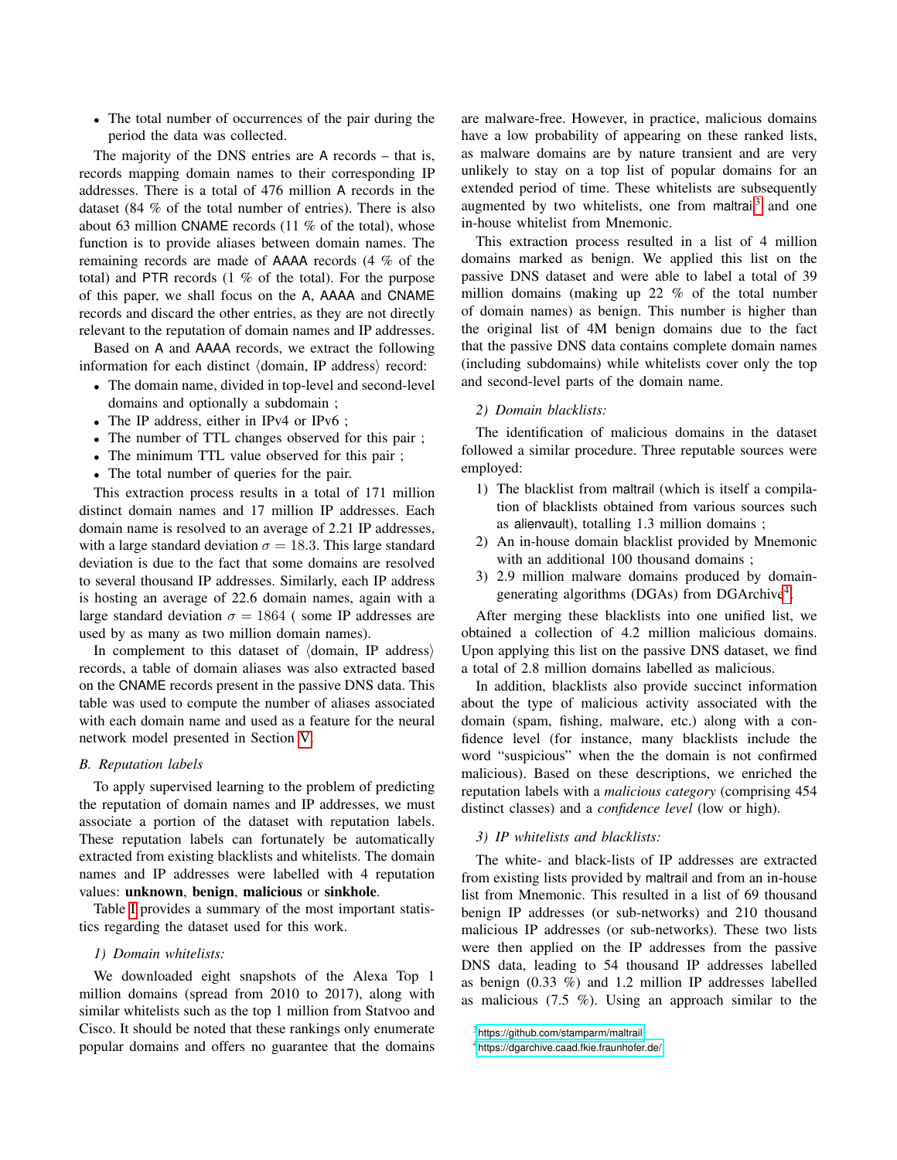• The total number of occurrences of the pair during the period the data was collected.

The majority of the DNS entries are A records – that is, records mapping domain names to their corresponding IP addresses. There is a total of 476 million A records in the dataset (84 % of the total number of entries). There is also about 63 million CNAME records (11 % of the total), whose function is to provide aliases between domain names. The remaining records are made of AAAA records (4 % of the total) and PTR records (1 % of the total). For the purpose of this paper, we shall focus on the A, AAAA and CNAME records and discard the other entries, as they are not directly relevant to the reputation of domain names and IP addresses.

Based on A and AAAA records, we extract the following information for each distinct  $\langle$  domain, IP address $\rangle$  record:

- The domain name, divided in top-level and second-level domains and optionally a subdomain ;
- The IP address, either in IPv4 or IPv6;
- The number of TTL changes observed for this pair ;
- The minimum TTL value observed for this pair ;
- The total number of queries for the pair.

This extraction process results in a total of 171 million distinct domain names and 17 million IP addresses. Each domain name is resolved to an average of 2.21 IP addresses, with a large standard deviation  $\sigma = 18.3$ . This large standard deviation is due to the fact that some domains are resolved to several thousand IP addresses. Similarly, each IP address is hosting an average of 22.6 domain names, again with a large standard deviation  $\sigma = 1864$  (some IP addresses are used by as many as two million domain names).

In complement to this dataset of  $\langle$  domain, IP address $\rangle$ records, a table of domain aliases was also extracted based on the CNAME records present in the passive DNS data. This table was used to compute the number of aliases associated with each domain name and used as a feature for the neural network model presented in Section [V.](#page-5-0)

#### *B. Reputation labels*

To apply supervised learning to the problem of predicting the reputation of domain names and IP addresses, we must associate a portion of the dataset with reputation labels. These reputation labels can fortunately be automatically extracted from existing blacklists and whitelists. The domain names and IP addresses were labelled with 4 reputation values: unknown, benign, malicious or sinkhole.

Table [I](#page-3-0) provides a summary of the most important statistics regarding the dataset used for this work.

## *1) Domain whitelists:*

We downloaded eight snapshots of the Alexa Top 1 million domains (spread from 2010 to 2017), along with similar whitelists such as the top 1 million from Statvoo and Cisco. It should be noted that these rankings only enumerate popular domains and offers no guarantee that the domains are malware-free. However, in practice, malicious domains have a low probability of appearing on these ranked lists, as malware domains are by nature transient and are very unlikely to stay on a top list of popular domains for an extended period of time. These whitelists are subsequently augmented by two whitelists, one from maltrail<sup>[3](#page-2-0)</sup> and one in-house whitelist from Mnemonic.

This extraction process resulted in a list of 4 million domains marked as benign. We applied this list on the passive DNS dataset and were able to label a total of 39 million domains (making up 22 % of the total number of domain names) as benign. This number is higher than the original list of 4M benign domains due to the fact that the passive DNS data contains complete domain names (including subdomains) while whitelists cover only the top and second-level parts of the domain name.

# *2) Domain blacklists:*

The identification of malicious domains in the dataset followed a similar procedure. Three reputable sources were employed:

- 1) The blacklist from maltrail (which is itself a compilation of blacklists obtained from various sources such as alienvault), totalling 1.3 million domains ;
- 2) An in-house domain blacklist provided by Mnemonic with an additional 100 thousand domains ;
- 3) 2.9 million malware domains produced by domain-generating algorithms (DGAs) from DGArchive<sup>[4](#page-2-1)</sup>.

After merging these blacklists into one unified list, we obtained a collection of 4.2 million malicious domains. Upon applying this list on the passive DNS dataset, we find a total of 2.8 million domains labelled as malicious.

In addition, blacklists also provide succinct information about the type of malicious activity associated with the domain (spam, fishing, malware, etc.) along with a confidence level (for instance, many blacklists include the word "suspicious" when the the domain is not confirmed malicious). Based on these descriptions, we enriched the reputation labels with a *malicious category* (comprising 454 distinct classes) and a *confidence level* (low or high).

# *3) IP whitelists and blacklists:*

The white- and black-lists of IP addresses are extracted from existing lists provided by maltrail and from an in-house list from Mnemonic. This resulted in a list of 69 thousand benign IP addresses (or sub-networks) and 210 thousand malicious IP addresses (or sub-networks). These two lists were then applied on the IP addresses from the passive DNS data, leading to 54 thousand IP addresses labelled as benign (0.33 %) and 1.2 million IP addresses labelled as malicious (7.5 %). Using an approach similar to the

<span id="page-2-0"></span><sup>3</sup><https://github.com/stamparm/maltrail>

<span id="page-2-1"></span><sup>4</sup><https://dgarchive.caad.fkie.fraunhofer.de/>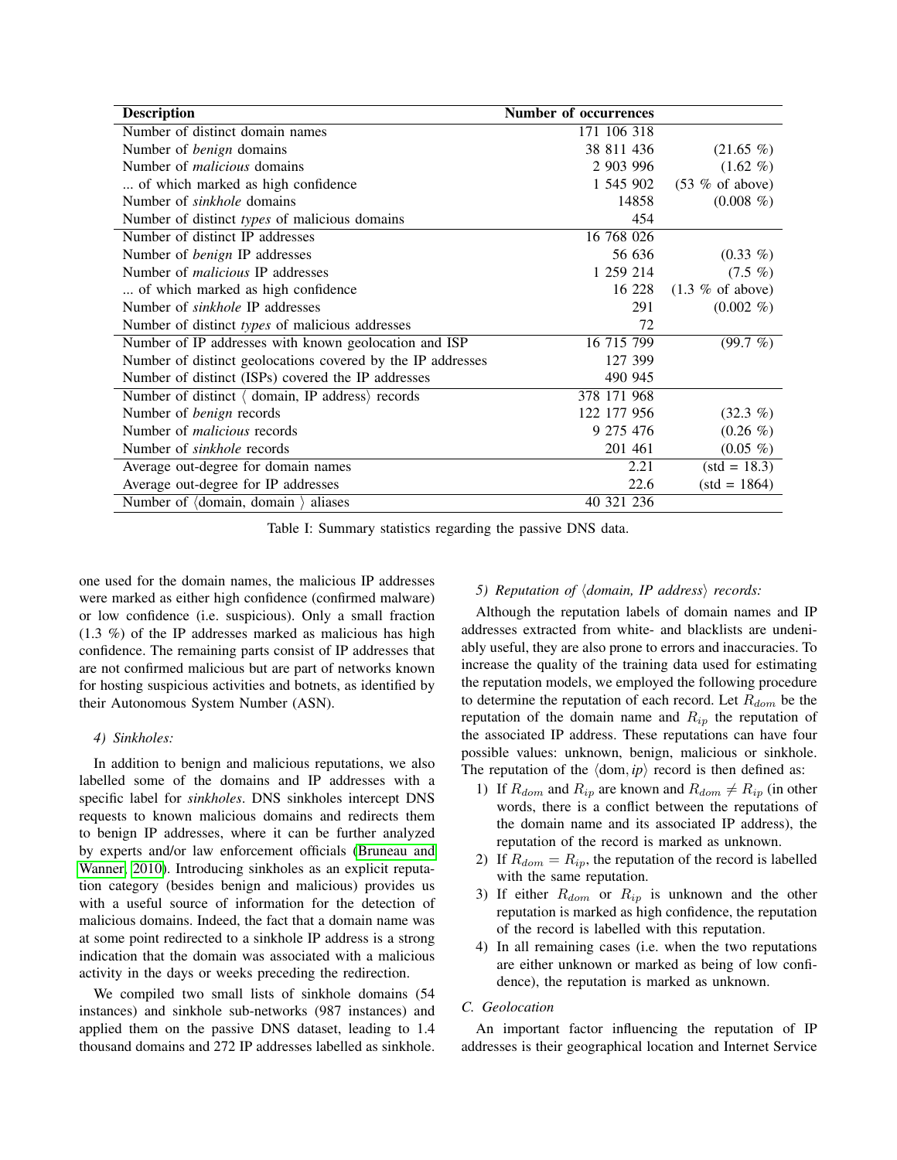<span id="page-3-0"></span>

| <b>Description</b>                                                | <b>Number of occurrences</b> |                  |
|-------------------------------------------------------------------|------------------------------|------------------|
| Number of distinct domain names                                   | 171 106 318                  |                  |
| Number of <i>benign</i> domains                                   | 38 811 436                   | $(21.65\%)$      |
| Number of <i>malicious</i> domains                                | 2 903 996                    | $(1.62\%)$       |
| of which marked as high confidence                                | 1 545 902                    | (53 % of above)  |
| Number of <i>sinkhole</i> domains                                 | 14858                        | $(0.008\%)$      |
| Number of distinct types of malicious domains                     | 454                          |                  |
| Number of distinct IP addresses                                   | 16 768 026                   |                  |
| Number of <i>benign</i> IP addresses                              | 56 636                       | $(0.33\%)$       |
| Number of <i>malicious</i> IP addresses                           | 1 259 214                    | $(7.5\%)$        |
| of which marked as high confidence                                | 16 228                       | (1.3 % of above) |
| Number of <i>sinkhole</i> IP addresses                            | 291                          | $(0.002 \ \%)$   |
| Number of distinct types of malicious addresses                   | 72                           |                  |
| Number of IP addresses with known geolocation and ISP             | 16 715 799                   | $(99.7 \%)$      |
| Number of distinct geolocations covered by the IP addresses       | 127 399                      |                  |
| Number of distinct (ISPs) covered the IP addresses                | 490 945                      |                  |
| Number of distinct $\langle$ domain, IP address $\rangle$ records | 378 171 968                  |                  |
| Number of <i>benign</i> records                                   | 122 177 956                  | $(32.3\%)$       |
| Number of <i>malicious</i> records                                | 9 275 476                    | $(0.26 \%)$      |
| Number of <i>sinkhole</i> records                                 | 201 461                      | $(0.05 \%)$      |
| Average out-degree for domain names                               | 2.21                         | $(std = 18.3)$   |
| Average out-degree for IP addresses                               | 22.6                         | $(stat = 1864)$  |
| Number of $\langle$ domain, domain $\rangle$ aliases              | 40 321 236                   |                  |

Table I: Summary statistics regarding the passive DNS data.

one used for the domain names, the malicious IP addresses were marked as either high confidence (confirmed malware) or low confidence (i.e. suspicious). Only a small fraction (1.3 %) of the IP addresses marked as malicious has high confidence. The remaining parts consist of IP addresses that are not confirmed malicious but are part of networks known for hosting suspicious activities and botnets, as identified by their Autonomous System Number (ASN).

# *4) Sinkholes:*

In addition to benign and malicious reputations, we also labelled some of the domains and IP addresses with a specific label for *sinkholes*. DNS sinkholes intercept DNS requests to known malicious domains and redirects them to benign IP addresses, where it can be further analyzed by experts and/or law enforcement officials [\(Bruneau and](#page-9-8) [Wanner, 2010\)](#page-9-8). Introducing sinkholes as an explicit reputation category (besides benign and malicious) provides us with a useful source of information for the detection of malicious domains. Indeed, the fact that a domain name was at some point redirected to a sinkhole IP address is a strong indication that the domain was associated with a malicious activity in the days or weeks preceding the redirection.

We compiled two small lists of sinkhole domains (54 instances) and sinkhole sub-networks (987 instances) and applied them on the passive DNS dataset, leading to 1.4 thousand domains and 272 IP addresses labelled as sinkhole.

# *5) Reputation of*  $\langle$  *domain, IP address* $\rangle$  *records:*

Although the reputation labels of domain names and IP addresses extracted from white- and blacklists are undeniably useful, they are also prone to errors and inaccuracies. To increase the quality of the training data used for estimating the reputation models, we employed the following procedure to determine the reputation of each record. Let  $R_{dom}$  be the reputation of the domain name and  $R_{ip}$  the reputation of the associated IP address. These reputations can have four possible values: unknown, benign, malicious or sinkhole. The reputation of the  $\langle$ dom, *ip* $\rangle$  record is then defined as:

- 1) If  $R_{dom}$  and  $R_{ip}$  are known and  $R_{dom} \neq R_{ip}$  (in other words, there is a conflict between the reputations of the domain name and its associated IP address), the reputation of the record is marked as unknown.
- 2) If  $R_{dom} = R_{ip}$ , the reputation of the record is labelled with the same reputation.
- 3) If either  $R_{dom}$  or  $R_{ip}$  is unknown and the other reputation is marked as high confidence, the reputation of the record is labelled with this reputation.
- 4) In all remaining cases (i.e. when the two reputations are either unknown or marked as being of low confidence), the reputation is marked as unknown.

#### *C. Geolocation*

An important factor influencing the reputation of IP addresses is their geographical location and Internet Service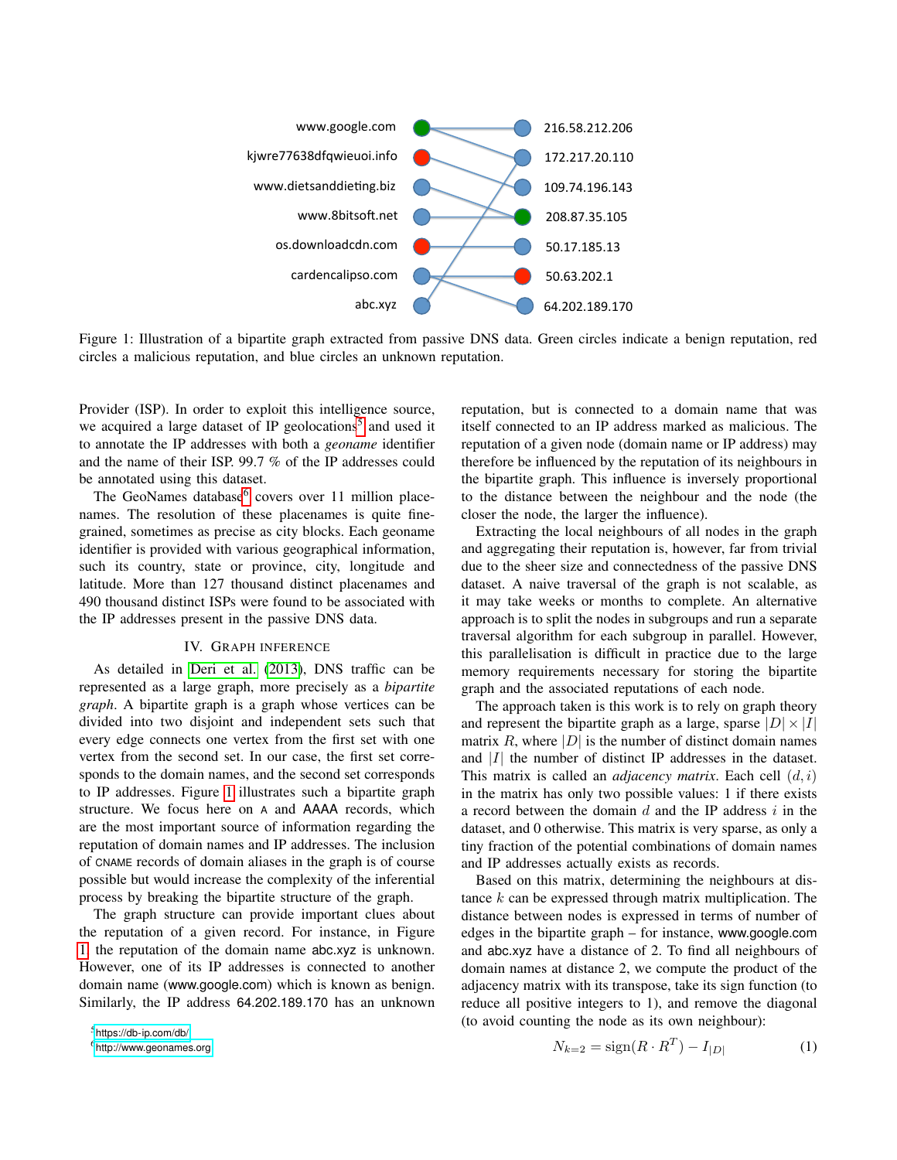<span id="page-4-3"></span>

Figure 1: Illustration of a bipartite graph extracted from passive DNS data. Green circles indicate a benign reputation, red circles a malicious reputation, and blue circles an unknown reputation.

Provider (ISP). In order to exploit this intelligence source, we acquired a large dataset of IP geolocations<sup>[5](#page-4-1)</sup> and used it to annotate the IP addresses with both a *geoname* identifier and the name of their ISP. 99.7 % of the IP addresses could be annotated using this dataset.

The GeoNames database<sup>[6](#page-4-2)</sup> covers over 11 million placenames. The resolution of these placenames is quite finegrained, sometimes as precise as city blocks. Each geoname identifier is provided with various geographical information, such its country, state or province, city, longitude and latitude. More than 127 thousand distinct placenames and 490 thousand distinct ISPs were found to be associated with the IP addresses present in the passive DNS data.

# IV. GRAPH INFERENCE

<span id="page-4-0"></span>As detailed in [Deri et al.](#page-9-9) [\(2013\)](#page-9-9), DNS traffic can be represented as a large graph, more precisely as a *bipartite graph*. A bipartite graph is a graph whose vertices can be divided into two disjoint and independent sets such that every edge connects one vertex from the first set with one vertex from the second set. In our case, the first set corresponds to the domain names, and the second set corresponds to IP addresses. Figure [1](#page-4-3) illustrates such a bipartite graph structure. We focus here on <sup>A</sup> and AAAA records, which are the most important source of information regarding the reputation of domain names and IP addresses. The inclusion of CNAME records of domain aliases in the graph is of course possible but would increase the complexity of the inferential process by breaking the bipartite structure of the graph.

The graph structure can provide important clues about the reputation of a given record. For instance, in Figure [1,](#page-4-3) the reputation of the domain name abc.xyz is unknown. However, one of its IP addresses is connected to another domain name (www.google.com) which is known as benign. Similarly, the IP address 64.202.189.170 has an unknown reputation, but is connected to a domain name that was itself connected to an IP address marked as malicious. The reputation of a given node (domain name or IP address) may therefore be influenced by the reputation of its neighbours in the bipartite graph. This influence is inversely proportional to the distance between the neighbour and the node (the closer the node, the larger the influence).

Extracting the local neighbours of all nodes in the graph and aggregating their reputation is, however, far from trivial due to the sheer size and connectedness of the passive DNS dataset. A naive traversal of the graph is not scalable, as it may take weeks or months to complete. An alternative approach is to split the nodes in subgroups and run a separate traversal algorithm for each subgroup in parallel. However, this parallelisation is difficult in practice due to the large memory requirements necessary for storing the bipartite graph and the associated reputations of each node.

The approach taken is this work is to rely on graph theory and represent the bipartite graph as a large, sparse  $|D| \times |I|$ matrix R, where  $|D|$  is the number of distinct domain names and  $|I|$  the number of distinct IP addresses in the dataset. This matrix is called an *adjacency matrix*. Each cell  $(d, i)$ in the matrix has only two possible values: 1 if there exists a record between the domain  $d$  and the IP address  $i$  in the dataset, and 0 otherwise. This matrix is very sparse, as only a tiny fraction of the potential combinations of domain names and IP addresses actually exists as records.

Based on this matrix, determining the neighbours at distance  $k$  can be expressed through matrix multiplication. The distance between nodes is expressed in terms of number of edges in the bipartite graph – for instance, www.google.com and abc.xyz have a distance of 2. To find all neighbours of domain names at distance 2, we compute the product of the adjacency matrix with its transpose, take its sign function (to reduce all positive integers to 1), and remove the diagonal (to avoid counting the node as its own neighbour):

$$
N_{k=2} = \text{sign}(R \cdot R^T) - I_{|D|}
$$
 (1)

<span id="page-4-1"></span><sup>5</sup><https://db-ip.com/db/>

<span id="page-4-2"></span><sup>6</sup><http://www.geonames.org>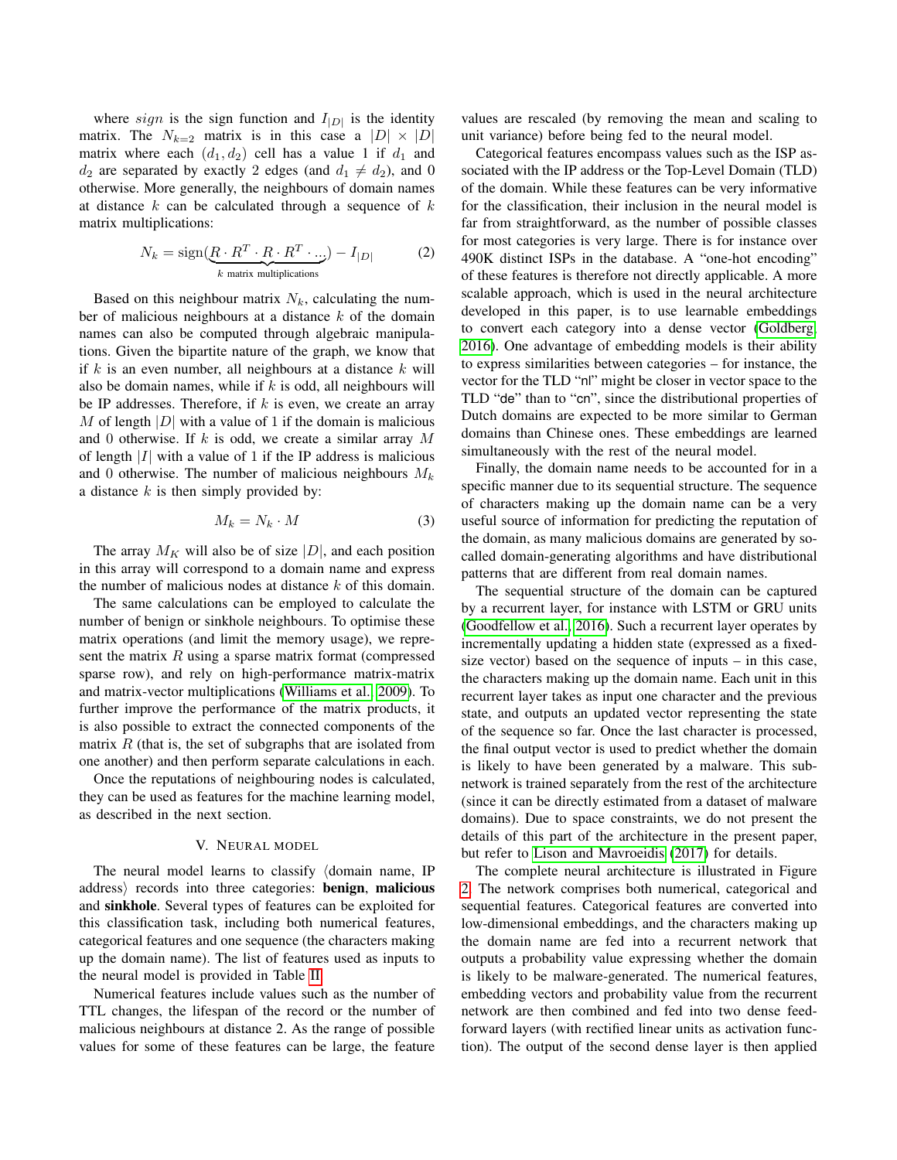where  $sign$  is the sign function and  $I_{|D|}$  is the identity matrix. The  $N_{k=2}$  matrix is in this case a  $|D| \times |D|$ matrix where each  $(d_1, d_2)$  cell has a value 1 if  $d_1$  and  $d_2$  are separated by exactly 2 edges (and  $d_1 \neq d_2$ ), and 0 otherwise. More generally, the neighbours of domain names at distance  $k$  can be calculated through a sequence of  $k$ matrix multiplications:

$$
N_k = \text{sign}(\underbrace{R \cdot R^T \cdot R \cdot R^T \cdot \ldots}_{k \text{ matrix multiplications}}) - I_{|D|}
$$
 (2)

Based on this neighbour matrix  $N_k$ , calculating the number of malicious neighbours at a distance  $k$  of the domain names can also be computed through algebraic manipulations. Given the bipartite nature of the graph, we know that if  $k$  is an even number, all neighbours at a distance  $k$  will also be domain names, while if  $k$  is odd, all neighbours will be IP addresses. Therefore, if  $k$  is even, we create an array M of length  $|D|$  with a value of 1 if the domain is malicious and 0 otherwise. If k is odd, we create a similar array  $M$ of length  $|I|$  with a value of 1 if the IP address is malicious and 0 otherwise. The number of malicious neighbours  $M_k$ a distance  $k$  is then simply provided by:

$$
M_k = N_k \cdot M \tag{3}
$$

The array  $M_K$  will also be of size  $|D|$ , and each position in this array will correspond to a domain name and express the number of malicious nodes at distance  $k$  of this domain.

The same calculations can be employed to calculate the number of benign or sinkhole neighbours. To optimise these matrix operations (and limit the memory usage), we represent the matrix  $R$  using a sparse matrix format (compressed sparse row), and rely on high-performance matrix-matrix and matrix-vector multiplications [\(Williams et al., 2009\)](#page-9-10). To further improve the performance of the matrix products, it is also possible to extract the connected components of the matrix  $R$  (that is, the set of subgraphs that are isolated from one another) and then perform separate calculations in each.

Once the reputations of neighbouring nodes is calculated, they can be used as features for the machine learning model, as described in the next section.

## V. NEURAL MODEL

<span id="page-5-0"></span>The neural model learns to classify  $\langle$  domain name, IP address) records into three categories: **benign**, **malicious** and sinkhole. Several types of features can be exploited for this classification task, including both numerical features, categorical features and one sequence (the characters making up the domain name). The list of features used as inputs to the neural model is provided in Table [II.](#page-6-1)

Numerical features include values such as the number of TTL changes, the lifespan of the record or the number of malicious neighbours at distance 2. As the range of possible values for some of these features can be large, the feature values are rescaled (by removing the mean and scaling to unit variance) before being fed to the neural model.

Categorical features encompass values such as the ISP associated with the IP address or the Top-Level Domain (TLD) of the domain. While these features can be very informative for the classification, their inclusion in the neural model is far from straightforward, as the number of possible classes for most categories is very large. There is for instance over 490K distinct ISPs in the database. A "one-hot encoding" of these features is therefore not directly applicable. A more scalable approach, which is used in the neural architecture developed in this paper, is to use learnable embeddings to convert each category into a dense vector [\(Goldberg,](#page-9-11) [2016\)](#page-9-11). One advantage of embedding models is their ability to express similarities between categories – for instance, the vector for the TLD "nl" might be closer in vector space to the TLD "de" than to "cn", since the distributional properties of Dutch domains are expected to be more similar to German domains than Chinese ones. These embeddings are learned simultaneously with the rest of the neural model.

Finally, the domain name needs to be accounted for in a specific manner due to its sequential structure. The sequence of characters making up the domain name can be a very useful source of information for predicting the reputation of the domain, as many malicious domains are generated by socalled domain-generating algorithms and have distributional patterns that are different from real domain names.

The sequential structure of the domain can be captured by a recurrent layer, for instance with LSTM or GRU units [\(Goodfellow et al., 2016\)](#page-9-12). Such a recurrent layer operates by incrementally updating a hidden state (expressed as a fixedsize vector) based on the sequence of inputs – in this case, the characters making up the domain name. Each unit in this recurrent layer takes as input one character and the previous state, and outputs an updated vector representing the state of the sequence so far. Once the last character is processed, the final output vector is used to predict whether the domain is likely to have been generated by a malware. This subnetwork is trained separately from the rest of the architecture (since it can be directly estimated from a dataset of malware domains). Due to space constraints, we do not present the details of this part of the architecture in the present paper, but refer to [Lison and Mavroeidis](#page-9-13) [\(2017\)](#page-9-13) for details.

The complete neural architecture is illustrated in Figure [2.](#page-7-1) The network comprises both numerical, categorical and sequential features. Categorical features are converted into low-dimensional embeddings, and the characters making up the domain name are fed into a recurrent network that outputs a probability value expressing whether the domain is likely to be malware-generated. The numerical features, embedding vectors and probability value from the recurrent network are then combined and fed into two dense feedforward layers (with rectified linear units as activation function). The output of the second dense layer is then applied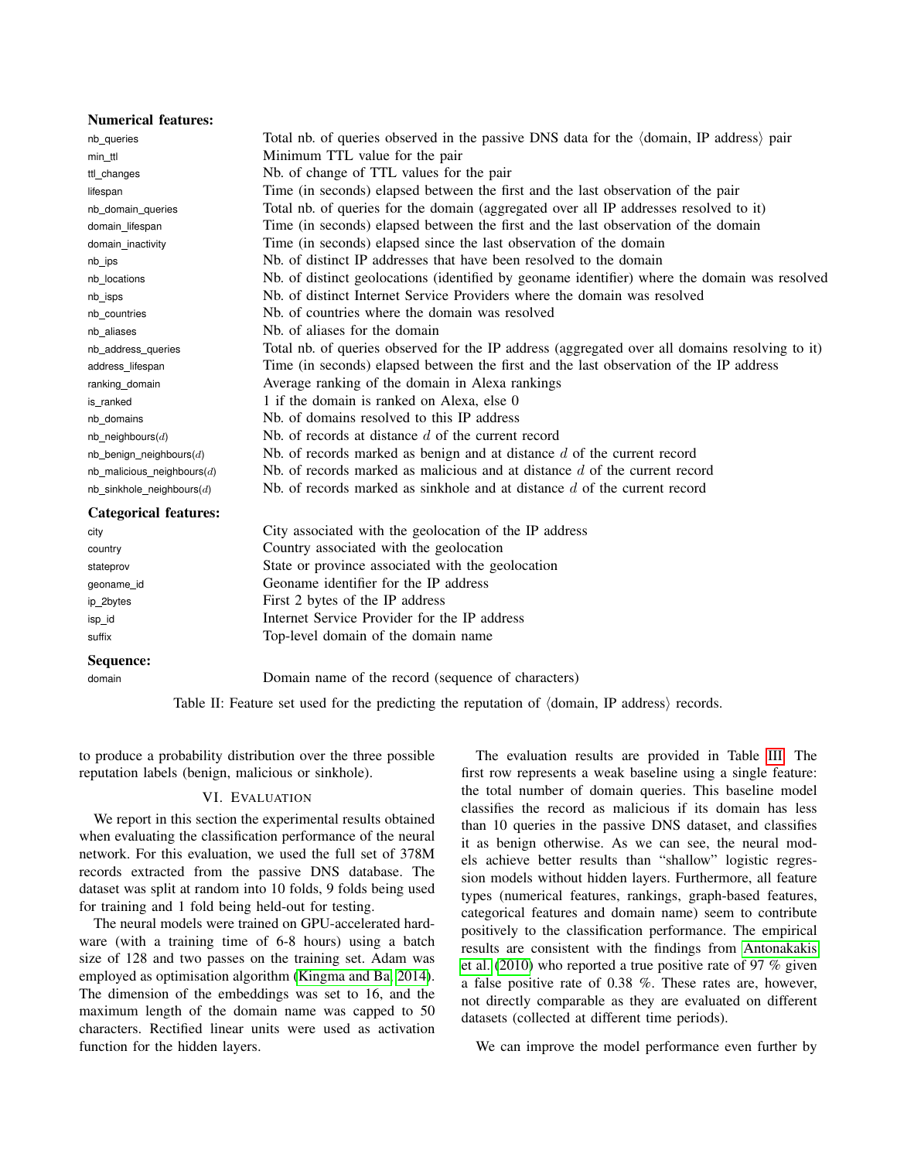# <span id="page-6-1"></span>Numerical features:

| nb_queries                       | Total nb. of queries observed in the passive DNS data for the $\langle$ domain, IP address $\rangle$ pair |
|----------------------------------|-----------------------------------------------------------------------------------------------------------|
| min_ttl                          | Minimum TTL value for the pair                                                                            |
| ttl_changes                      | Nb. of change of TTL values for the pair                                                                  |
| lifespan                         | Time (in seconds) elapsed between the first and the last observation of the pair                          |
| nb_domain_queries                | Total nb. of queries for the domain (aggregated over all IP addresses resolved to it)                     |
| domain lifespan                  | Time (in seconds) elapsed between the first and the last observation of the domain                        |
| domain inactivity                | Time (in seconds) elapsed since the last observation of the domain                                        |
| nb_ips                           | Nb, of distinct IP addresses that have been resolved to the domain                                        |
| nb_locations                     | Nb. of distinct geolocations (identified by geoname identifier) where the domain was resolved             |
| nb_isps                          | Nb. of distinct Internet Service Providers where the domain was resolved                                  |
| nb_countries                     | Nb. of countries where the domain was resolved                                                            |
| nb aliases                       | Nb. of aliases for the domain                                                                             |
| nb_address_queries               | Total nb. of queries observed for the IP address (aggregated over all domains resolving to it)            |
| address lifespan                 | Time (in seconds) elapsed between the first and the last observation of the IP address                    |
| ranking domain                   | Average ranking of the domain in Alexa rankings                                                           |
| is_ranked                        | 1 if the domain is ranked on Alexa, else 0                                                                |
| nb domains                       | Nb. of domains resolved to this IP address                                                                |
| $nb\_neighbours(d)$              | Nb. of records at distance $d$ of the current record                                                      |
| $nb\_benign\_neighbourg(d)$      | Nb. of records marked as benign and at distance $d$ of the current record                                 |
| $nb$ malicious neighbours( $d$ ) | Nb. of records marked as malicious and at distance $d$ of the current record                              |
| nb sinkhole neighbours $(d)$     | Nb. of records marked as sinkhole and at distance $d$ of the current record                               |
| <b>Categorical features:</b>     |                                                                                                           |
| city                             | City associated with the geolocation of the IP address                                                    |
| country                          | Country associated with the geolocation                                                                   |
| stateprov                        | State or province associated with the geolocation                                                         |
|                                  |                                                                                                           |

| stateprov                            | State or province associated with the geolocation |
|--------------------------------------|---------------------------------------------------|
| geoname id                           | Geoname identifier for the IP address             |
| ip 2bytes                            | First 2 bytes of the IP address                   |
| isp id                               | Internet Service Provider for the IP address      |
| suffix                               | Top-level domain of the domain name               |
| $\mathbf{C}$ a constant $\mathbf{C}$ |                                                   |

# Sequence:

domain Domain name of the record (sequence of characters)

Table II: Feature set used for the predicting the reputation of  $\langle$  domain, IP address $\rangle$  records.

to produce a probability distribution over the three possible reputation labels (benign, malicious or sinkhole).

# VI. EVALUATION

<span id="page-6-0"></span>We report in this section the experimental results obtained when evaluating the classification performance of the neural network. For this evaluation, we used the full set of 378M records extracted from the passive DNS database. The dataset was split at random into 10 folds, 9 folds being used for training and 1 fold being held-out for testing.

The neural models were trained on GPU-accelerated hardware (with a training time of 6-8 hours) using a batch size of 128 and two passes on the training set. Adam was employed as optimisation algorithm [\(Kingma and Ba, 2014\)](#page-9-14). The dimension of the embeddings was set to 16, and the maximum length of the domain name was capped to 50 characters. Rectified linear units were used as activation function for the hidden layers.

The evaluation results are provided in Table [III.](#page-8-0) The first row represents a weak baseline using a single feature: the total number of domain queries. This baseline model classifies the record as malicious if its domain has less than 10 queries in the passive DNS dataset, and classifies it as benign otherwise. As we can see, the neural models achieve better results than "shallow" logistic regression models without hidden layers. Furthermore, all feature types (numerical features, rankings, graph-based features, categorical features and domain name) seem to contribute positively to the classification performance. The empirical results are consistent with the findings from [Antonakakis](#page-9-0) [et al.](#page-9-0) [\(2010\)](#page-9-0) who reported a true positive rate of 97 % given a false positive rate of 0.38 %. These rates are, however, not directly comparable as they are evaluated on different datasets (collected at different time periods).

We can improve the model performance even further by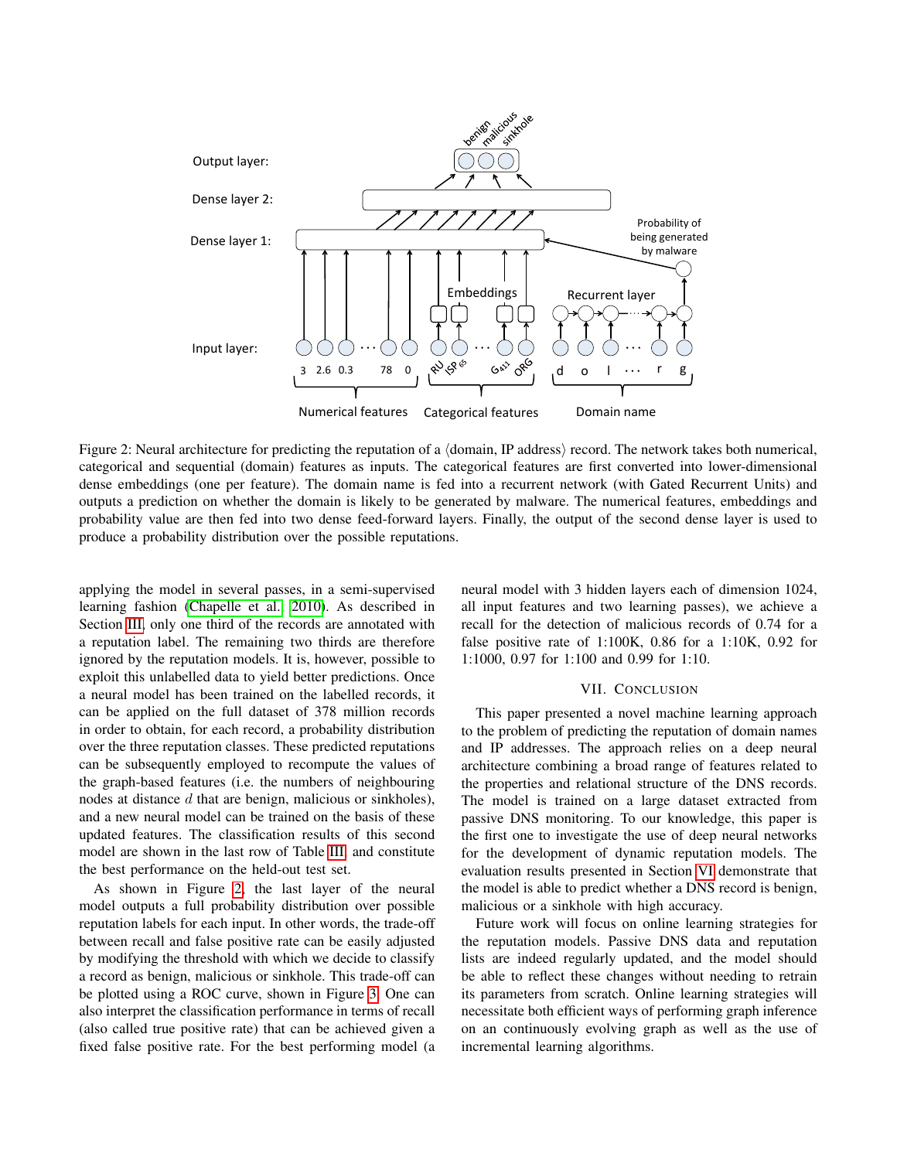<span id="page-7-1"></span>

Figure 2: Neural architecture for predicting the reputation of a  $\langle$  domain, IP address $\rangle$  record. The network takes both numerical, categorical and sequential (domain) features as inputs. The categorical features are first converted into lower-dimensional dense embeddings (one per feature). The domain name is fed into a recurrent network (with Gated Recurrent Units) and outputs a prediction on whether the domain is likely to be generated by malware. The numerical features, embeddings and probability value are then fed into two dense feed-forward layers. Finally, the output of the second dense layer is used to produce a probability distribution over the possible reputations.

applying the model in several passes, in a semi-supervised learning fashion [\(Chapelle et al., 2010\)](#page-9-15). As described in Section [III,](#page-1-0) only one third of the records are annotated with a reputation label. The remaining two thirds are therefore ignored by the reputation models. It is, however, possible to exploit this unlabelled data to yield better predictions. Once a neural model has been trained on the labelled records, it can be applied on the full dataset of 378 million records in order to obtain, for each record, a probability distribution over the three reputation classes. These predicted reputations can be subsequently employed to recompute the values of the graph-based features (i.e. the numbers of neighbouring nodes at distance d that are benign, malicious or sinkholes), and a new neural model can be trained on the basis of these updated features. The classification results of this second model are shown in the last row of Table [III,](#page-8-0) and constitute the best performance on the held-out test set.

As shown in Figure [2,](#page-7-1) the last layer of the neural model outputs a full probability distribution over possible reputation labels for each input. In other words, the trade-off between recall and false positive rate can be easily adjusted by modifying the threshold with which we decide to classify a record as benign, malicious or sinkhole. This trade-off can be plotted using a ROC curve, shown in Figure [3.](#page-9-16) One can also interpret the classification performance in terms of recall (also called true positive rate) that can be achieved given a fixed false positive rate. For the best performing model (a neural model with 3 hidden layers each of dimension 1024, all input features and two learning passes), we achieve a recall for the detection of malicious records of 0.74 for a false positive rate of 1:100K, 0.86 for a 1:10K, 0.92 for 1:1000, 0.97 for 1:100 and 0.99 for 1:10.

## VII. CONCLUSION

<span id="page-7-0"></span>This paper presented a novel machine learning approach to the problem of predicting the reputation of domain names and IP addresses. The approach relies on a deep neural architecture combining a broad range of features related to the properties and relational structure of the DNS records. The model is trained on a large dataset extracted from passive DNS monitoring. To our knowledge, this paper is the first one to investigate the use of deep neural networks for the development of dynamic reputation models. The evaluation results presented in Section [VI](#page-6-0) demonstrate that the model is able to predict whether a DNS record is benign, malicious or a sinkhole with high accuracy.

Future work will focus on online learning strategies for the reputation models. Passive DNS data and reputation lists are indeed regularly updated, and the model should be able to reflect these changes without needing to retrain its parameters from scratch. Online learning strategies will necessitate both efficient ways of performing graph inference on an continuously evolving graph as well as the use of incremental learning algorithms.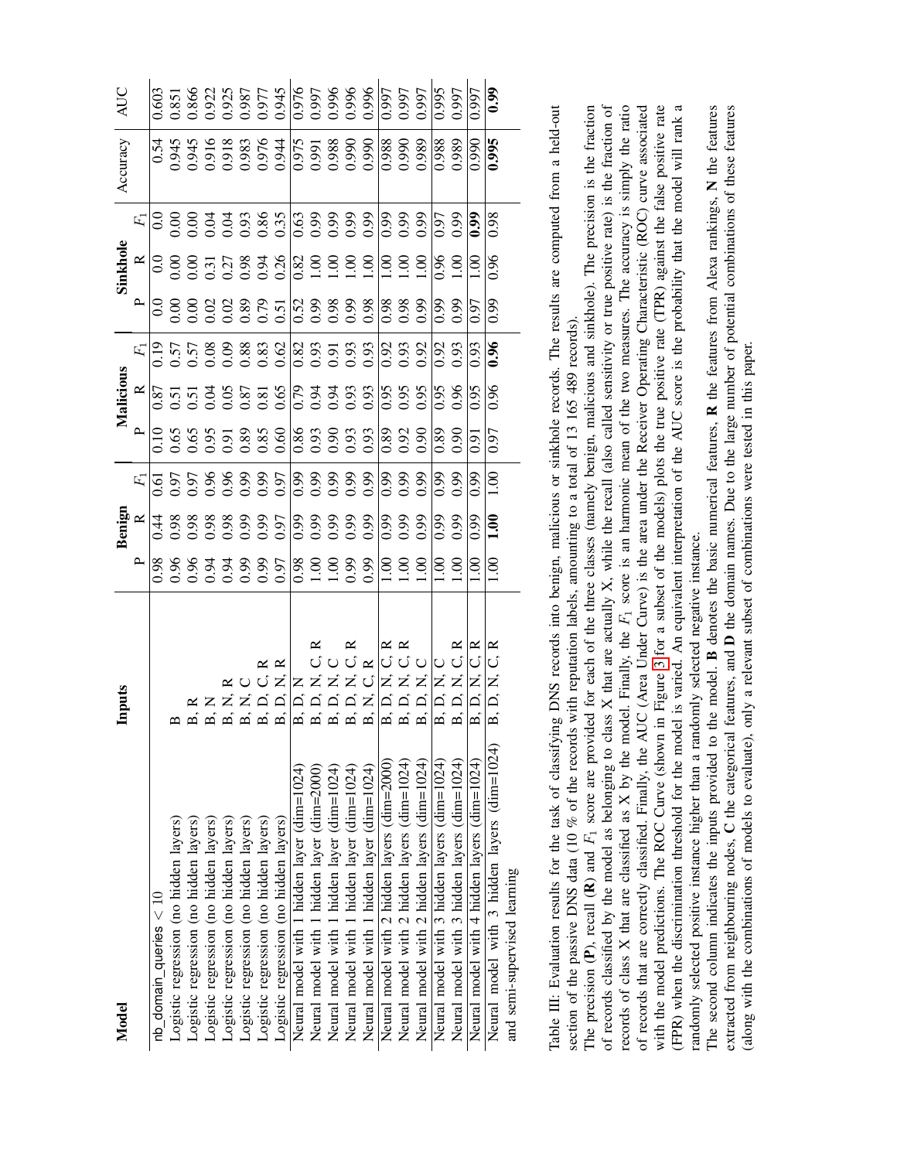<span id="page-8-0"></span>

| Model                                        | Inputs               |                                           |                  |                                                                                                                                                                                                                                                                                                                                                                                                                                                                                                                                                                                                                                                |                 | Malicious |                  |                     | Sinkhol                  |                   | Accuracy     | AUC   |
|----------------------------------------------|----------------------|-------------------------------------------|------------------|------------------------------------------------------------------------------------------------------------------------------------------------------------------------------------------------------------------------------------------------------------------------------------------------------------------------------------------------------------------------------------------------------------------------------------------------------------------------------------------------------------------------------------------------------------------------------------------------------------------------------------------------|-----------------|-----------|------------------|---------------------|--------------------------|-------------------|--------------|-------|
|                                              |                      |                                           | Benign<br>R      |                                                                                                                                                                                                                                                                                                                                                                                                                                                                                                                                                                                                                                                | $\sim$          | $\approx$ |                  | $\mathbf{r}$        | $\approx$                |                   |              |       |
| $nb_d$ domain_queries $< 10$                 |                      |                                           |                  |                                                                                                                                                                                                                                                                                                                                                                                                                                                                                                                                                                                                                                                |                 |           |                  |                     | $\overline{0.0}$         |                   |              | 0.603 |
| Logistic regression (no hidden layers)       |                      |                                           |                  |                                                                                                                                                                                                                                                                                                                                                                                                                                                                                                                                                                                                                                                |                 |           |                  |                     |                          |                   |              |       |
| Logistic regression (no hidden layers)       |                      |                                           |                  |                                                                                                                                                                                                                                                                                                                                                                                                                                                                                                                                                                                                                                                |                 |           |                  |                     |                          |                   |              |       |
| Logistic regression (no hidden layers)       |                      |                                           |                  |                                                                                                                                                                                                                                                                                                                                                                                                                                                                                                                                                                                                                                                |                 |           |                  |                     |                          |                   |              |       |
| Logistic regression (no hidden layers)       |                      |                                           |                  |                                                                                                                                                                                                                                                                                                                                                                                                                                                                                                                                                                                                                                                |                 |           |                  |                     |                          |                   |              |       |
| Logistic regression (no hidden layers)       |                      |                                           |                  |                                                                                                                                                                                                                                                                                                                                                                                                                                                                                                                                                                                                                                                |                 |           |                  |                     |                          |                   |              |       |
| Logistic regression (no hidden layers)       |                      |                                           |                  |                                                                                                                                                                                                                                                                                                                                                                                                                                                                                                                                                                                                                                                |                 |           |                  |                     |                          |                   |              |       |
| Logistic regression (no hidden layers)       | Ż                    | 0888338850888890888<br>088833885088889088 |                  | $\begin{array}{r} \Gamma_1 \backslash \overline{\mathcal{A}} \backslash \overline{\mathcal{A}} \backslash \overline{\mathcal{B}} \backslash \overline{\mathcal{B}} \backslash \overline{\mathcal{B}} \backslash \overline{\mathcal{B}} \backslash \overline{\mathcal{B}} \backslash \overline{\mathcal{B}} \backslash \overline{\mathcal{B}} \backslash \overline{\mathcal{B}} \backslash \overline{\mathcal{B}} \backslash \overline{\mathcal{B}} \backslash \overline{\mathcal{B}} \backslash \overline{\mathcal{B}} \backslash \overline{\mathcal{B}} \backslash \overline{\mathcal{B}} \backslash \overline{\mathcal{B}} \backslash \over$ |                 |           |                  |                     |                          |                   |              |       |
| Neural model with 1 hidden layer (dim=1024)  |                      |                                           |                  |                                                                                                                                                                                                                                                                                                                                                                                                                                                                                                                                                                                                                                                |                 |           |                  |                     |                          |                   |              |       |
| Neural model with 1 hidden layer (dim=2000)  |                      |                                           |                  |                                                                                                                                                                                                                                                                                                                                                                                                                                                                                                                                                                                                                                                |                 |           |                  |                     |                          |                   |              |       |
| Neural model with 1 hidden layer (dim=1024)  |                      |                                           |                  |                                                                                                                                                                                                                                                                                                                                                                                                                                                                                                                                                                                                                                                |                 |           |                  |                     |                          |                   |              |       |
| Neural model with 1 hidden layer (dim=1024)  |                      |                                           |                  |                                                                                                                                                                                                                                                                                                                                                                                                                                                                                                                                                                                                                                                |                 |           |                  |                     |                          |                   |              |       |
| Neural model with 1 hidden layer (dim=1024)  | $\approx$            |                                           |                  |                                                                                                                                                                                                                                                                                                                                                                                                                                                                                                                                                                                                                                                |                 |           |                  |                     |                          |                   |              |       |
| Neural model with 2 hidden layers (dim=2000) |                      |                                           |                  |                                                                                                                                                                                                                                                                                                                                                                                                                                                                                                                                                                                                                                                |                 |           |                  |                     | $\leq$                   |                   |              |       |
| Neural model with 2 hidden layers (dim=1024) |                      |                                           |                  |                                                                                                                                                                                                                                                                                                                                                                                                                                                                                                                                                                                                                                                |                 |           |                  |                     | $rac{8}{1}$              |                   |              |       |
| Neural model with 2 hidden layers (dim=1024) | $\cup$               |                                           |                  |                                                                                                                                                                                                                                                                                                                                                                                                                                                                                                                                                                                                                                                |                 |           |                  |                     |                          |                   |              |       |
| Neural model with 3 hidden layers (dim=1024) | υ, Ν.<br>.<br>M      | 88                                        | $\frac{9}{0.99}$ | $\frac{66}{60}$                                                                                                                                                                                                                                                                                                                                                                                                                                                                                                                                                                                                                                |                 |           |                  |                     | 0.96                     |                   | 886.0        |       |
| Neural model with 3 hidden layers (dim=1024) | z<br>Q               |                                           |                  |                                                                                                                                                                                                                                                                                                                                                                                                                                                                                                                                                                                                                                                | $\frac{89}{60}$ |           | $\frac{8}{0.93}$ | $\frac{6880}{0.90}$ | 1.00                     | $\frac{6.9}{0.9}$ |              |       |
| Neural model with 4 hidden layers (dim=1024) | $\approx$<br>Σ<br>Β. | $\widetilde{\mathrm{S}}$                  | 0.99             | 6.0                                                                                                                                                                                                                                                                                                                                                                                                                                                                                                                                                                                                                                            | 0.91            |           | 0.93             |                     | $\widetilde{\mathrm{S}}$ |                   | $\sqrt{990}$ | 0.997 |
| Neural model with 3 hidden layers (dim=1024) | $\approx$<br>ΞÓ      | ຮ                                         | ຣິ               |                                                                                                                                                                                                                                                                                                                                                                                                                                                                                                                                                                                                                                                | 0.97            | 0.96      | 0.96             | 6.0                 | 0.96                     | 0.98              | 0.995        | 0.99  |
| and semi-supervised learning                 |                      |                                           |                  |                                                                                                                                                                                                                                                                                                                                                                                                                                                                                                                                                                                                                                                |                 |           |                  |                     |                          |                   |              |       |
|                                              |                      |                                           |                  |                                                                                                                                                                                                                                                                                                                                                                                                                                                                                                                                                                                                                                                |                 |           |                  |                     |                          |                   |              |       |

Table III: Evaluation results for the task of classifying DNS records into benign, malicious or sinkhole records. The results are computed from a held-out Table III: Evaluation results for the task of classifying DNS records into benign, malicious or sinkhole records. The results are computed from a held-out section of the passive DNS data (10 % of the records with reputation labels, amounting to a total of 13 165 489 records). section of the passive DNS data (10 % of the records with reputation labels, amounting to a total of 13 165 489 records).

with the model predictions. The ROC Curve (shown in Figure 3 for a subset of the models) plots the true positive rate (TPR) against the false positive rate (FPR) when the discrimination threshold for the model is varied. A (FPR) when the discrimination threshold for the model is varied. An equivalent interpretation of the AUC score is the probability that the model will rank a records of class X that are classified as X by the model. Finally, the  $F_1$  score is an harmonic mean of the two measures. The accuracy is simply the ratio of records that are correctly classified. Finally, the AUC (Area Under Curve) is the area under the Receiver Operating Characteristic (ROC) curve associated of records classified by the model as belonging to class X that are actually X, while the recall (also called sensitivity or true positive rate) is the fraction of F1 score are provided for each of the three classes (namely benign, malicious and sinkhole). The precision is the fraction  $F_1$  score is an harmonic mean of the two measures. The accuracy is simply the ratio of records that are correctly classified. Finally, the AUC (Area Under Curve) is the area under the Receiver Operating Characteristic (ROC) curve associated with the model predictions. The ROC Curve (shown in Figure [3](#page-9-16) for a subset of the models) plots the true positive rate (TPR) against the false positive rate randomly selected positive instance higher than a randomly selected negative instance. randomly selected positive instance higher than a randomly selected negative instance. records of class X that are classified as X by the model. Finally, the R) and P), recall ( The precision (P

N the features the domain names. Due to the large number of potential combinations of these features the features from Alexa rankings, (along with the combinations of models to evaluate), only a relevant subset of combinations were tested in this paper. (along with the combinations of models to evaluate), only a relevant subset of combinations were tested in this paper. $\boldsymbol{\varkappa}$  denotes the basic numerical features,  $\mathsf{d}$ ≏ C the categorical features, and<br>
11 The second column indicates the inputs provided to the model.  $\mathsf{\mathsf{C}}$ extracted from neighbouring nodes,